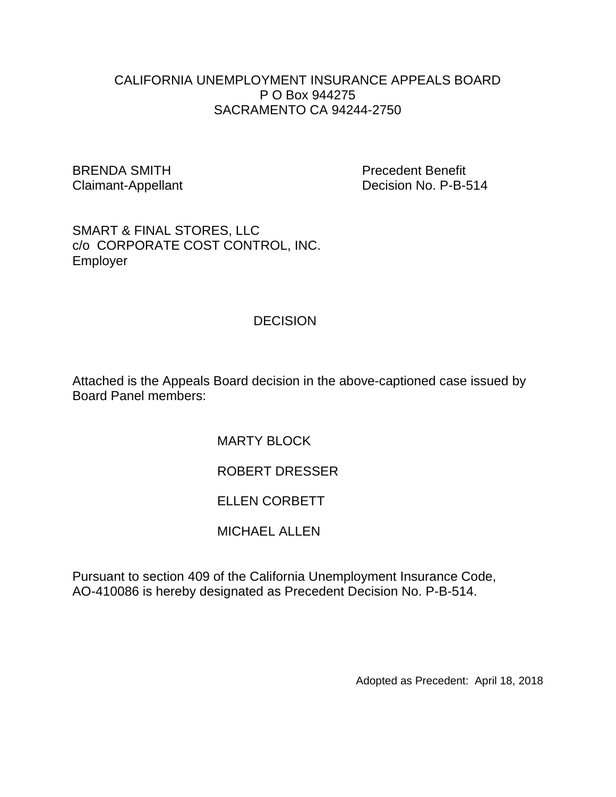### CALIFORNIA UNEMPLOYMENT INSURANCE APPEALS BOARD P O Box 944275 SACRAMENTO CA 94244-2750

BRENDA SMITH **Precedent Benefit** 

Claimant-Appellant Decision No. P-B-514

SMART & FINAL STORES, LLC c/o CORPORATE COST CONTROL, INC. Employer

### **DECISION**

Attached is the Appeals Board decision in the above-captioned case issued by Board Panel members:

MARTY BI OCK

# ROBERT DRESSER

## ELLEN CORBETT

## MICHAEL ALLEN

Pursuant to section 409 of the California Unemployment Insurance Code, AO-410086 is hereby designated as Precedent Decision No. P-B-514.

Adopted as Precedent: April 18, 2018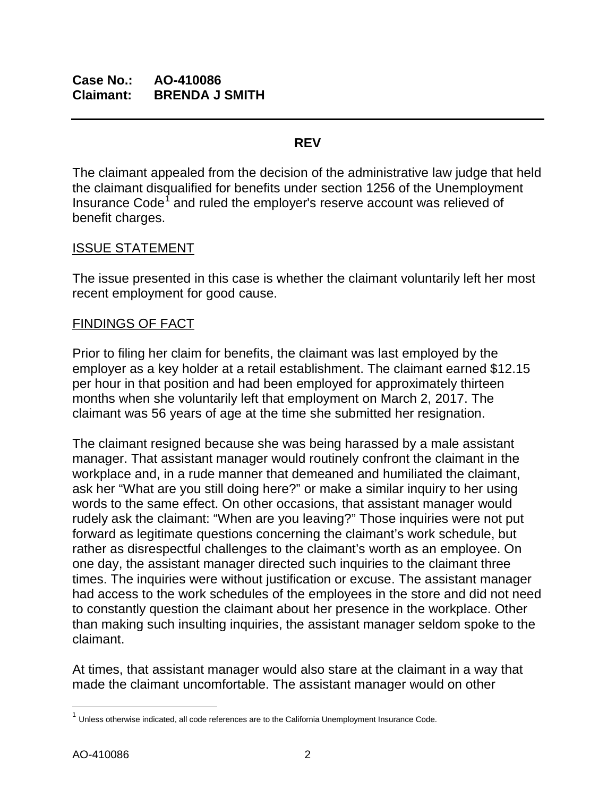#### **REV**

The claimant appealed from the decision of the administrative law judge that held the claimant disqualified for benefits under section 1256 of the Unemployment Insurance Code<sup>[1](#page-1-0)</sup> and ruled the employer's reserve account was relieved of benefit charges.

### ISSUE STATEMENT

The issue presented in this case is whether the claimant voluntarily left her most recent employment for good cause.

## FINDINGS OF FACT

Prior to filing her claim for benefits, the claimant was last employed by the employer as a key holder at a retail establishment. The claimant earned \$12.15 per hour in that position and had been employed for approximately thirteen months when she voluntarily left that employment on March 2, 2017. The claimant was 56 years of age at the time she submitted her resignation.

The claimant resigned because she was being harassed by a male assistant manager. That assistant manager would routinely confront the claimant in the workplace and, in a rude manner that demeaned and humiliated the claimant, ask her "What are you still doing here?" or make a similar inquiry to her using words to the same effect. On other occasions, that assistant manager would rudely ask the claimant: "When are you leaving?" Those inquiries were not put forward as legitimate questions concerning the claimant's work schedule, but rather as disrespectful challenges to the claimant's worth as an employee. On one day, the assistant manager directed such inquiries to the claimant three times. The inquiries were without justification or excuse. The assistant manager had access to the work schedules of the employees in the store and did not need to constantly question the claimant about her presence in the workplace. Other than making such insulting inquiries, the assistant manager seldom spoke to the claimant.

At times, that assistant manager would also stare at the claimant in a way that made the claimant uncomfortable. The assistant manager would on other

 $\overline{\phantom{a}}$ 

<span id="page-1-0"></span> $1$  Unless otherwise indicated, all code references are to the California Unemployment Insurance Code.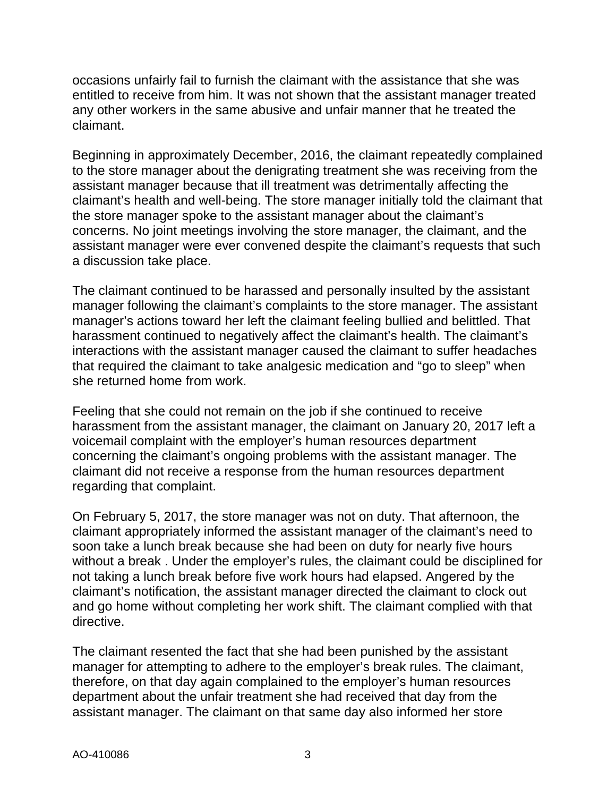occasions unfairly fail to furnish the claimant with the assistance that she was entitled to receive from him. It was not shown that the assistant manager treated any other workers in the same abusive and unfair manner that he treated the claimant.

Beginning in approximately December, 2016, the claimant repeatedly complained to the store manager about the denigrating treatment she was receiving from the assistant manager because that ill treatment was detrimentally affecting the claimant's health and well-being. The store manager initially told the claimant that the store manager spoke to the assistant manager about the claimant's concerns. No joint meetings involving the store manager, the claimant, and the assistant manager were ever convened despite the claimant's requests that such a discussion take place.

The claimant continued to be harassed and personally insulted by the assistant manager following the claimant's complaints to the store manager. The assistant manager's actions toward her left the claimant feeling bullied and belittled. That harassment continued to negatively affect the claimant's health. The claimant's interactions with the assistant manager caused the claimant to suffer headaches that required the claimant to take analgesic medication and "go to sleep" when she returned home from work.

Feeling that she could not remain on the job if she continued to receive harassment from the assistant manager, the claimant on January 20, 2017 left a voicemail complaint with the employer's human resources department concerning the claimant's ongoing problems with the assistant manager. The claimant did not receive a response from the human resources department regarding that complaint.

On February 5, 2017, the store manager was not on duty. That afternoon, the claimant appropriately informed the assistant manager of the claimant's need to soon take a lunch break because she had been on duty for nearly five hours without a break . Under the employer's rules, the claimant could be disciplined for not taking a lunch break before five work hours had elapsed. Angered by the claimant's notification, the assistant manager directed the claimant to clock out and go home without completing her work shift. The claimant complied with that directive.

The claimant resented the fact that she had been punished by the assistant manager for attempting to adhere to the employer's break rules. The claimant, therefore, on that day again complained to the employer's human resources department about the unfair treatment she had received that day from the assistant manager. The claimant on that same day also informed her store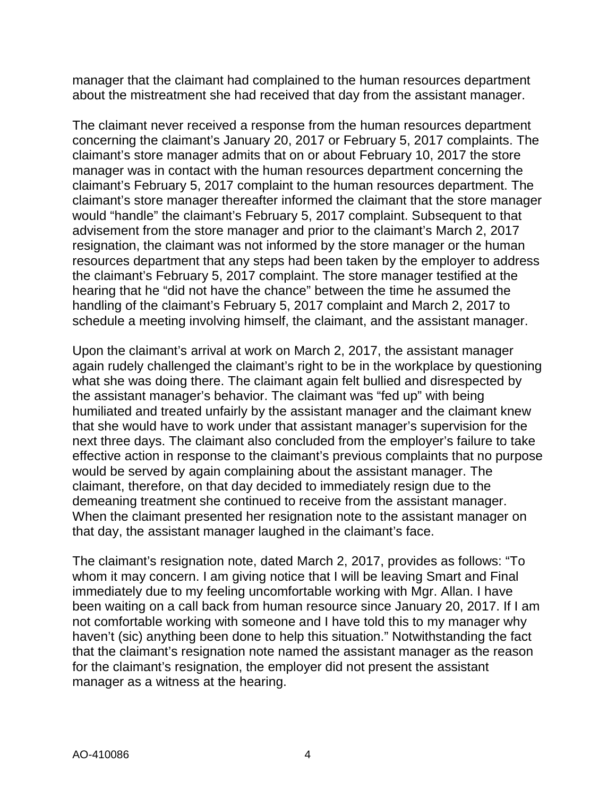manager that the claimant had complained to the human resources department about the mistreatment she had received that day from the assistant manager.

The claimant never received a response from the human resources department concerning the claimant's January 20, 2017 or February 5, 2017 complaints. The claimant's store manager admits that on or about February 10, 2017 the store manager was in contact with the human resources department concerning the claimant's February 5, 2017 complaint to the human resources department. The claimant's store manager thereafter informed the claimant that the store manager would "handle" the claimant's February 5, 2017 complaint. Subsequent to that advisement from the store manager and prior to the claimant's March 2, 2017 resignation, the claimant was not informed by the store manager or the human resources department that any steps had been taken by the employer to address the claimant's February 5, 2017 complaint. The store manager testified at the hearing that he "did not have the chance" between the time he assumed the handling of the claimant's February 5, 2017 complaint and March 2, 2017 to schedule a meeting involving himself, the claimant, and the assistant manager.

Upon the claimant's arrival at work on March 2, 2017, the assistant manager again rudely challenged the claimant's right to be in the workplace by questioning what she was doing there. The claimant again felt bullied and disrespected by the assistant manager's behavior. The claimant was "fed up" with being humiliated and treated unfairly by the assistant manager and the claimant knew that she would have to work under that assistant manager's supervision for the next three days. The claimant also concluded from the employer's failure to take effective action in response to the claimant's previous complaints that no purpose would be served by again complaining about the assistant manager. The claimant, therefore, on that day decided to immediately resign due to the demeaning treatment she continued to receive from the assistant manager. When the claimant presented her resignation note to the assistant manager on that day, the assistant manager laughed in the claimant's face.

The claimant's resignation note, dated March 2, 2017, provides as follows: "To whom it may concern. I am giving notice that I will be leaving Smart and Final immediately due to my feeling uncomfortable working with Mgr. Allan. I have been waiting on a call back from human resource since January 20, 2017. If I am not comfortable working with someone and I have told this to my manager why haven't (sic) anything been done to help this situation." Notwithstanding the fact that the claimant's resignation note named the assistant manager as the reason for the claimant's resignation, the employer did not present the assistant manager as a witness at the hearing.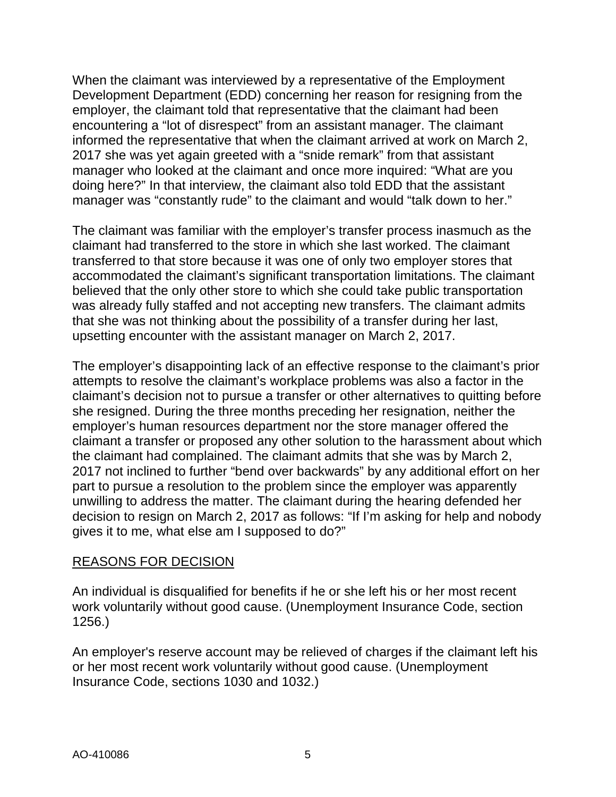When the claimant was interviewed by a representative of the Employment Development Department (EDD) concerning her reason for resigning from the employer, the claimant told that representative that the claimant had been encountering a "lot of disrespect" from an assistant manager. The claimant informed the representative that when the claimant arrived at work on March 2, 2017 she was yet again greeted with a "snide remark" from that assistant manager who looked at the claimant and once more inquired: "What are you doing here?" In that interview, the claimant also told EDD that the assistant manager was "constantly rude" to the claimant and would "talk down to her."

The claimant was familiar with the employer's transfer process inasmuch as the claimant had transferred to the store in which she last worked. The claimant transferred to that store because it was one of only two employer stores that accommodated the claimant's significant transportation limitations. The claimant believed that the only other store to which she could take public transportation was already fully staffed and not accepting new transfers. The claimant admits that she was not thinking about the possibility of a transfer during her last, upsetting encounter with the assistant manager on March 2, 2017.

The employer's disappointing lack of an effective response to the claimant's prior attempts to resolve the claimant's workplace problems was also a factor in the claimant's decision not to pursue a transfer or other alternatives to quitting before she resigned. During the three months preceding her resignation, neither the employer's human resources department nor the store manager offered the claimant a transfer or proposed any other solution to the harassment about which the claimant had complained. The claimant admits that she was by March 2, 2017 not inclined to further "bend over backwards" by any additional effort on her part to pursue a resolution to the problem since the employer was apparently unwilling to address the matter. The claimant during the hearing defended her decision to resign on March 2, 2017 as follows: "If I'm asking for help and nobody gives it to me, what else am I supposed to do?"

#### REASONS FOR DECISION

An individual is disqualified for benefits if he or she left his or her most recent work voluntarily without good cause. (Unemployment Insurance Code, section 1256.)

An employer's reserve account may be relieved of charges if the claimant left his or her most recent work voluntarily without good cause. (Unemployment Insurance Code, sections 1030 and 1032.)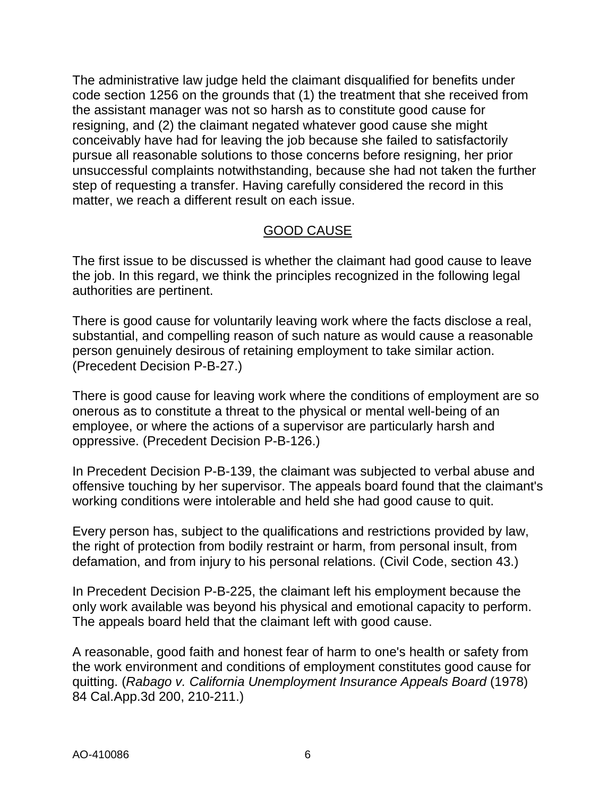The administrative law judge held the claimant disqualified for benefits under code section 1256 on the grounds that (1) the treatment that she received from the assistant manager was not so harsh as to constitute good cause for resigning, and (2) the claimant negated whatever good cause she might conceivably have had for leaving the job because she failed to satisfactorily pursue all reasonable solutions to those concerns before resigning, her prior unsuccessful complaints notwithstanding, because she had not taken the further step of requesting a transfer. Having carefully considered the record in this matter, we reach a different result on each issue.

## GOOD CAUSE

The first issue to be discussed is whether the claimant had good cause to leave the job. In this regard, we think the principles recognized in the following legal authorities are pertinent.

There is good cause for voluntarily leaving work where the facts disclose a real, substantial, and compelling reason of such nature as would cause a reasonable person genuinely desirous of retaining employment to take similar action. (Precedent Decision P-B-27.)

There is good cause for leaving work where the conditions of employment are so onerous as to constitute a threat to the physical or mental well-being of an employee, or where the actions of a supervisor are particularly harsh and oppressive. (Precedent Decision P-B-126.)

In Precedent Decision P-B-139, the claimant was subjected to verbal abuse and offensive touching by her supervisor. The appeals board found that the claimant's working conditions were intolerable and held she had good cause to quit.

Every person has, subject to the qualifications and restrictions provided by law, the right of protection from bodily restraint or harm, from personal insult, from defamation, and from injury to his personal relations. (Civil Code, section 43.)

In Precedent Decision P-B-225, the claimant left his employment because the only work available was beyond his physical and emotional capacity to perform. The appeals board held that the claimant left with good cause.

A reasonable, good faith and honest fear of harm to one's health or safety from the work environment and conditions of employment constitutes good cause for quitting. (*Rabago v. California Unemployment Insurance Appeals Board* (1978) 84 Cal.App.3d 200, 210-211.)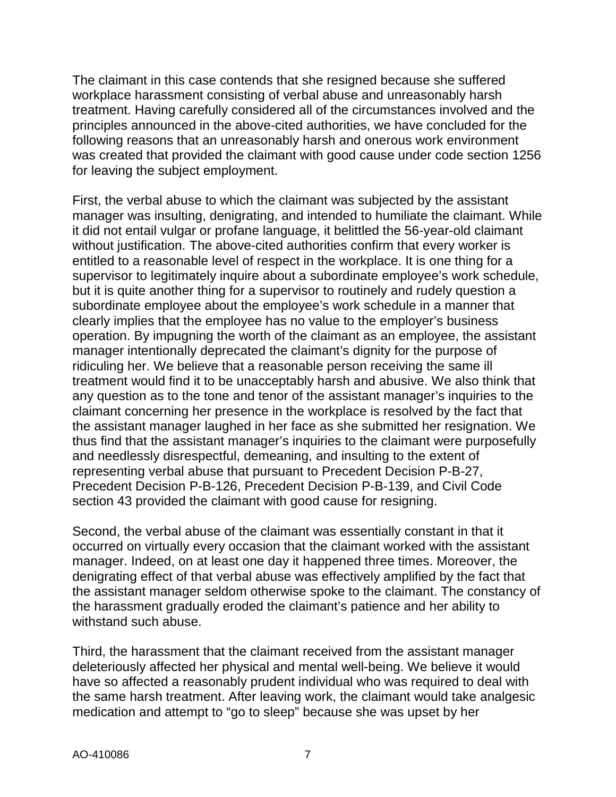The claimant in this case contends that she resigned because she suffered workplace harassment consisting of verbal abuse and unreasonably harsh treatment. Having carefully considered all of the circumstances involved and the principles announced in the above-cited authorities, we have concluded for the following reasons that an unreasonably harsh and onerous work environment was created that provided the claimant with good cause under code section 1256 for leaving the subject employment.

First, the verbal abuse to which the claimant was subjected by the assistant manager was insulting, denigrating, and intended to humiliate the claimant. While it did not entail vulgar or profane language, it belittled the 56-year-old claimant without justification. The above-cited authorities confirm that every worker is entitled to a reasonable level of respect in the workplace. It is one thing for a supervisor to legitimately inquire about a subordinate employee's work schedule, but it is quite another thing for a supervisor to routinely and rudely question a subordinate employee about the employee's work schedule in a manner that clearly implies that the employee has no value to the employer's business operation. By impugning the worth of the claimant as an employee, the assistant manager intentionally deprecated the claimant's dignity for the purpose of ridiculing her. We believe that a reasonable person receiving the same ill treatment would find it to be unacceptably harsh and abusive. We also think that any question as to the tone and tenor of the assistant manager's inquiries to the claimant concerning her presence in the workplace is resolved by the fact that the assistant manager laughed in her face as she submitted her resignation. We thus find that the assistant manager's inquiries to the claimant were purposefully and needlessly disrespectful, demeaning, and insulting to the extent of representing verbal abuse that pursuant to Precedent Decision P-B-27, Precedent Decision P-B-126, Precedent Decision P-B-139, and Civil Code section 43 provided the claimant with good cause for resigning.

Second, the verbal abuse of the claimant was essentially constant in that it occurred on virtually every occasion that the claimant worked with the assistant manager. Indeed, on at least one day it happened three times. Moreover, the denigrating effect of that verbal abuse was effectively amplified by the fact that the assistant manager seldom otherwise spoke to the claimant. The constancy of the harassment gradually eroded the claimant's patience and her ability to withstand such abuse.

Third, the harassment that the claimant received from the assistant manager deleteriously affected her physical and mental well-being. We believe it would have so affected a reasonably prudent individual who was required to deal with the same harsh treatment. After leaving work, the claimant would take analgesic medication and attempt to "go to sleep" because she was upset by her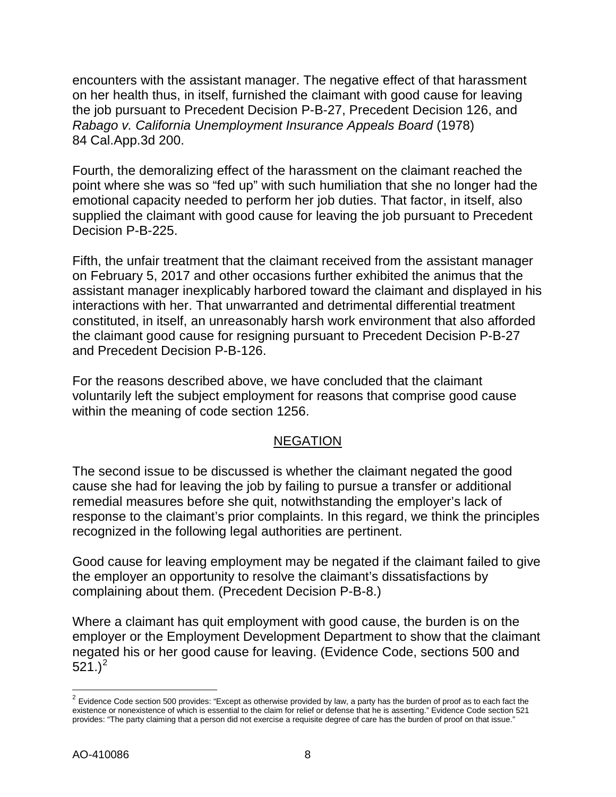encounters with the assistant manager. The negative effect of that harassment on her health thus, in itself, furnished the claimant with good cause for leaving the job pursuant to Precedent Decision P-B-27, Precedent Decision 126, and *Rabago v. California Unemployment Insurance Appeals Board* (1978) 84 Cal.App.3d 200.

Fourth, the demoralizing effect of the harassment on the claimant reached the point where she was so "fed up" with such humiliation that she no longer had the emotional capacity needed to perform her job duties. That factor, in itself, also supplied the claimant with good cause for leaving the job pursuant to Precedent Decision P-B-225.

Fifth, the unfair treatment that the claimant received from the assistant manager on February 5, 2017 and other occasions further exhibited the animus that the assistant manager inexplicably harbored toward the claimant and displayed in his interactions with her. That unwarranted and detrimental differential treatment constituted, in itself, an unreasonably harsh work environment that also afforded the claimant good cause for resigning pursuant to Precedent Decision P-B-27 and Precedent Decision P-B-126.

For the reasons described above, we have concluded that the claimant voluntarily left the subject employment for reasons that comprise good cause within the meaning of code section 1256.

## NEGATION

The second issue to be discussed is whether the claimant negated the good cause she had for leaving the job by failing to pursue a transfer or additional remedial measures before she quit, notwithstanding the employer's lack of response to the claimant's prior complaints. In this regard, we think the principles recognized in the following legal authorities are pertinent.

Good cause for leaving employment may be negated if the claimant failed to give the employer an opportunity to resolve the claimant's dissatisfactions by complaining about them. (Precedent Decision P-B-8.)

Where a claimant has quit employment with good cause, the burden is on the employer or the Employment Development Department to show that the claimant negated his or her good cause for leaving. (Evidence Code, sections 500 and  $521.$  $521.$  $521.$ <sup>2</sup>

 $\overline{a}$ 

<span id="page-7-0"></span> $2$  Evidence Code section 500 provides: "Except as otherwise provided by law, a party has the burden of proof as to each fact the existence or nonexistence of which is essential to the claim for relief or defense that he is asserting." Evidence Code section 521 provides: "The party claiming that a person did not exercise a requisite degree of care has the burden of proof on that issue."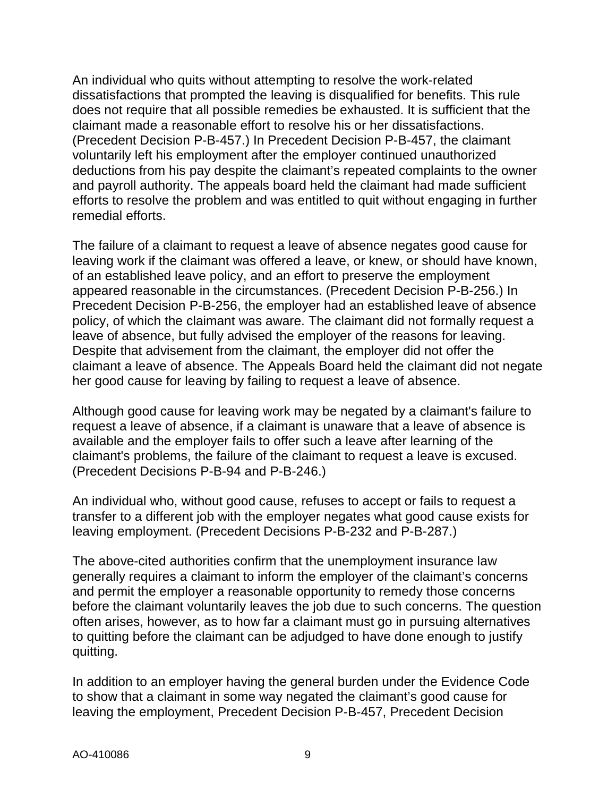An individual who quits without attempting to resolve the work-related dissatisfactions that prompted the leaving is disqualified for benefits. This rule does not require that all possible remedies be exhausted. It is sufficient that the claimant made a reasonable effort to resolve his or her dissatisfactions. (Precedent Decision P-B-457.) In Precedent Decision P-B-457, the claimant voluntarily left his employment after the employer continued unauthorized deductions from his pay despite the claimant's repeated complaints to the owner and payroll authority. The appeals board held the claimant had made sufficient efforts to resolve the problem and was entitled to quit without engaging in further remedial efforts.

The failure of a claimant to request a leave of absence negates good cause for leaving work if the claimant was offered a leave, or knew, or should have known, of an established leave policy, and an effort to preserve the employment appeared reasonable in the circumstances. (Precedent Decision P-B-256.) In Precedent Decision P-B-256, the employer had an established leave of absence policy, of which the claimant was aware. The claimant did not formally request a leave of absence, but fully advised the employer of the reasons for leaving. Despite that advisement from the claimant, the employer did not offer the claimant a leave of absence. The Appeals Board held the claimant did not negate her good cause for leaving by failing to request a leave of absence.

Although good cause for leaving work may be negated by a claimant's failure to request a leave of absence, if a claimant is unaware that a leave of absence is available and the employer fails to offer such a leave after learning of the claimant's problems, the failure of the claimant to request a leave is excused. (Precedent Decisions P-B-94 and P-B-246.)

An individual who, without good cause, refuses to accept or fails to request a transfer to a different job with the employer negates what good cause exists for leaving employment. (Precedent Decisions P-B-232 and P-B-287.)

The above-cited authorities confirm that the unemployment insurance law generally requires a claimant to inform the employer of the claimant's concerns and permit the employer a reasonable opportunity to remedy those concerns before the claimant voluntarily leaves the job due to such concerns. The question often arises, however, as to how far a claimant must go in pursuing alternatives to quitting before the claimant can be adjudged to have done enough to justify quitting.

In addition to an employer having the general burden under the Evidence Code to show that a claimant in some way negated the claimant's good cause for leaving the employment, Precedent Decision P-B-457, Precedent Decision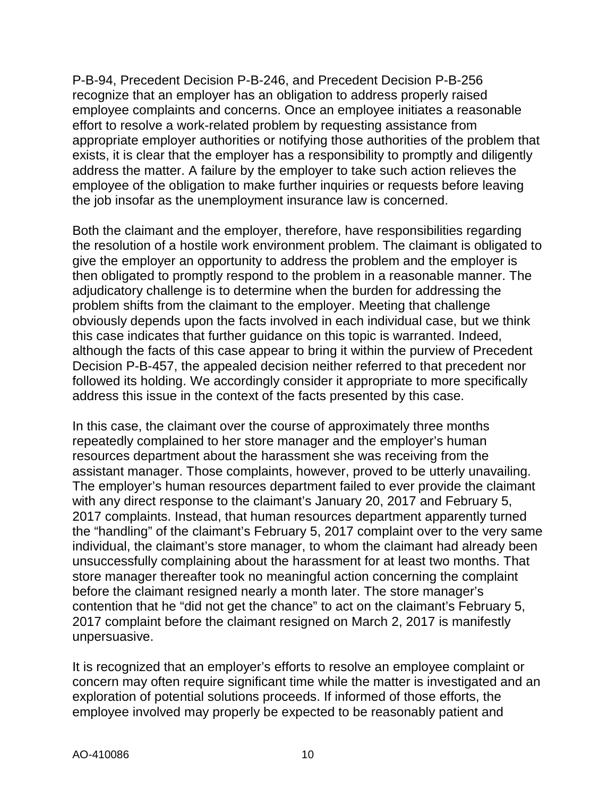P-B-94, Precedent Decision P-B-246, and Precedent Decision P-B-256 recognize that an employer has an obligation to address properly raised employee complaints and concerns. Once an employee initiates a reasonable effort to resolve a work-related problem by requesting assistance from appropriate employer authorities or notifying those authorities of the problem that exists, it is clear that the employer has a responsibility to promptly and diligently address the matter. A failure by the employer to take such action relieves the employee of the obligation to make further inquiries or requests before leaving the job insofar as the unemployment insurance law is concerned.

Both the claimant and the employer, therefore, have responsibilities regarding the resolution of a hostile work environment problem. The claimant is obligated to give the employer an opportunity to address the problem and the employer is then obligated to promptly respond to the problem in a reasonable manner. The adjudicatory challenge is to determine when the burden for addressing the problem shifts from the claimant to the employer. Meeting that challenge obviously depends upon the facts involved in each individual case, but we think this case indicates that further guidance on this topic is warranted. Indeed, although the facts of this case appear to bring it within the purview of Precedent Decision P-B-457, the appealed decision neither referred to that precedent nor followed its holding. We accordingly consider it appropriate to more specifically address this issue in the context of the facts presented by this case.

In this case, the claimant over the course of approximately three months repeatedly complained to her store manager and the employer's human resources department about the harassment she was receiving from the assistant manager. Those complaints, however, proved to be utterly unavailing. The employer's human resources department failed to ever provide the claimant with any direct response to the claimant's January 20, 2017 and February 5, 2017 complaints. Instead, that human resources department apparently turned the "handling" of the claimant's February 5, 2017 complaint over to the very same individual, the claimant's store manager, to whom the claimant had already been unsuccessfully complaining about the harassment for at least two months. That store manager thereafter took no meaningful action concerning the complaint before the claimant resigned nearly a month later. The store manager's contention that he "did not get the chance" to act on the claimant's February 5, 2017 complaint before the claimant resigned on March 2, 2017 is manifestly unpersuasive.

It is recognized that an employer's efforts to resolve an employee complaint or concern may often require significant time while the matter is investigated and an exploration of potential solutions proceeds. If informed of those efforts, the employee involved may properly be expected to be reasonably patient and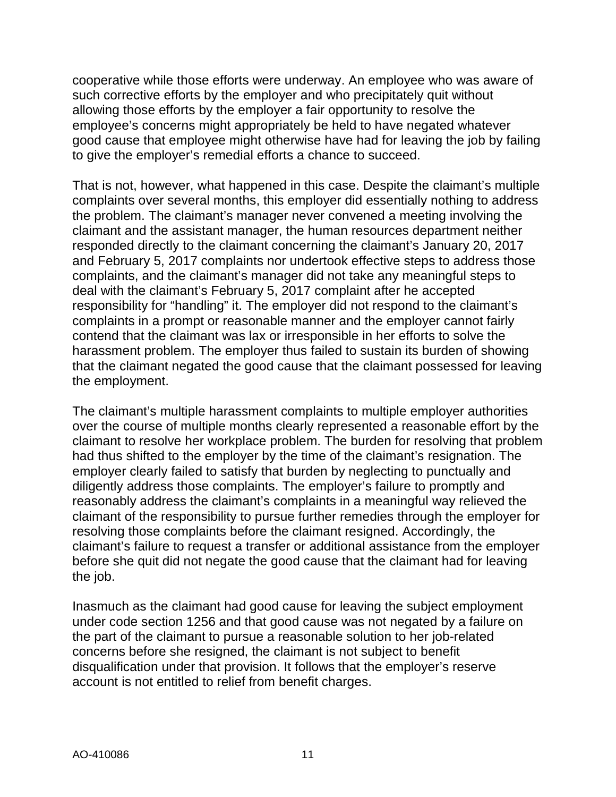cooperative while those efforts were underway. An employee who was aware of such corrective efforts by the employer and who precipitately quit without allowing those efforts by the employer a fair opportunity to resolve the employee's concerns might appropriately be held to have negated whatever good cause that employee might otherwise have had for leaving the job by failing to give the employer's remedial efforts a chance to succeed.

That is not, however, what happened in this case. Despite the claimant's multiple complaints over several months, this employer did essentially nothing to address the problem. The claimant's manager never convened a meeting involving the claimant and the assistant manager, the human resources department neither responded directly to the claimant concerning the claimant's January 20, 2017 and February 5, 2017 complaints nor undertook effective steps to address those complaints, and the claimant's manager did not take any meaningful steps to deal with the claimant's February 5, 2017 complaint after he accepted responsibility for "handling" it. The employer did not respond to the claimant's complaints in a prompt or reasonable manner and the employer cannot fairly contend that the claimant was lax or irresponsible in her efforts to solve the harassment problem. The employer thus failed to sustain its burden of showing that the claimant negated the good cause that the claimant possessed for leaving the employment.

The claimant's multiple harassment complaints to multiple employer authorities over the course of multiple months clearly represented a reasonable effort by the claimant to resolve her workplace problem. The burden for resolving that problem had thus shifted to the employer by the time of the claimant's resignation. The employer clearly failed to satisfy that burden by neglecting to punctually and diligently address those complaints. The employer's failure to promptly and reasonably address the claimant's complaints in a meaningful way relieved the claimant of the responsibility to pursue further remedies through the employer for resolving those complaints before the claimant resigned. Accordingly, the claimant's failure to request a transfer or additional assistance from the employer before she quit did not negate the good cause that the claimant had for leaving the job.

Inasmuch as the claimant had good cause for leaving the subject employment under code section 1256 and that good cause was not negated by a failure on the part of the claimant to pursue a reasonable solution to her job-related concerns before she resigned, the claimant is not subject to benefit disqualification under that provision. It follows that the employer's reserve account is not entitled to relief from benefit charges.